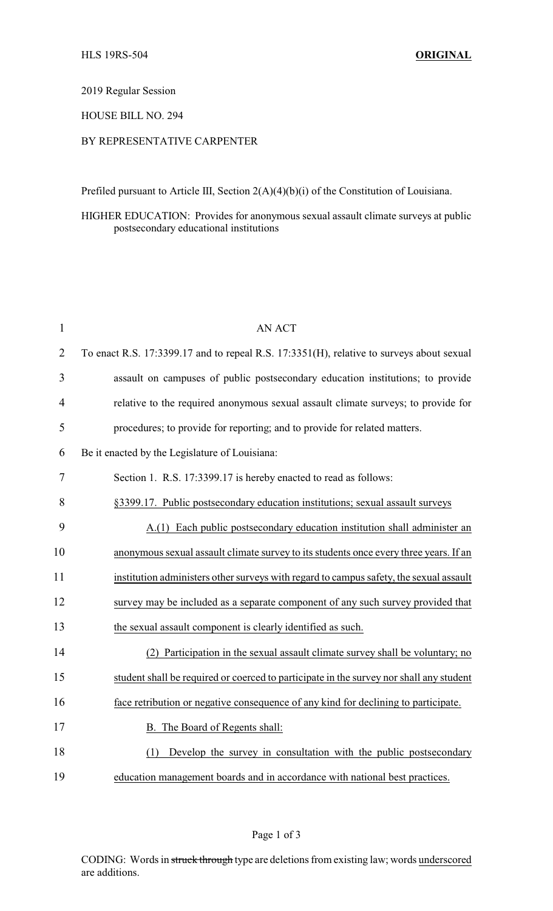#### 2019 Regular Session

#### HOUSE BILL NO. 294

## BY REPRESENTATIVE CARPENTER

Prefiled pursuant to Article III, Section 2(A)(4)(b)(i) of the Constitution of Louisiana.

### HIGHER EDUCATION: Provides for anonymous sexual assault climate surveys at public postsecondary educational institutions

| $\mathbf{1}$   | <b>AN ACT</b>                                                                            |
|----------------|------------------------------------------------------------------------------------------|
| $\overline{2}$ | To enact R.S. 17:3399.17 and to repeal R.S. 17:3351(H), relative to surveys about sexual |
| 3              | assault on campuses of public postsecondary education institutions; to provide           |
| $\overline{4}$ | relative to the required anonymous sexual assault climate surveys; to provide for        |
| 5              | procedures; to provide for reporting; and to provide for related matters.                |
| 6              | Be it enacted by the Legislature of Louisiana:                                           |
| 7              | Section 1. R.S. 17:3399.17 is hereby enacted to read as follows:                         |
| 8              | §3399.17. Public postsecondary education institutions; sexual assault surveys            |
| 9              | A.(1) Each public postsecondary education institution shall administer an                |
| 10             | anonymous sexual assault climate survey to its students once every three years. If an    |
| 11             | institution administers other surveys with regard to campus safety, the sexual assault   |
| 12             | survey may be included as a separate component of any such survey provided that          |
| 13             | the sexual assault component is clearly identified as such.                              |
| 14             | (2) Participation in the sexual assault climate survey shall be voluntary; no            |
| 15             | student shall be required or coerced to participate in the survey nor shall any student  |
| 16             | face retribution or negative consequence of any kind for declining to participate.       |
| 17             | B. The Board of Regents shall:                                                           |
| 18             | Develop the survey in consultation with the public postsecondary<br>(1)                  |
| 19             | education management boards and in accordance with national best practices.              |

Page 1 of 3

CODING: Words in struck through type are deletions from existing law; words underscored are additions.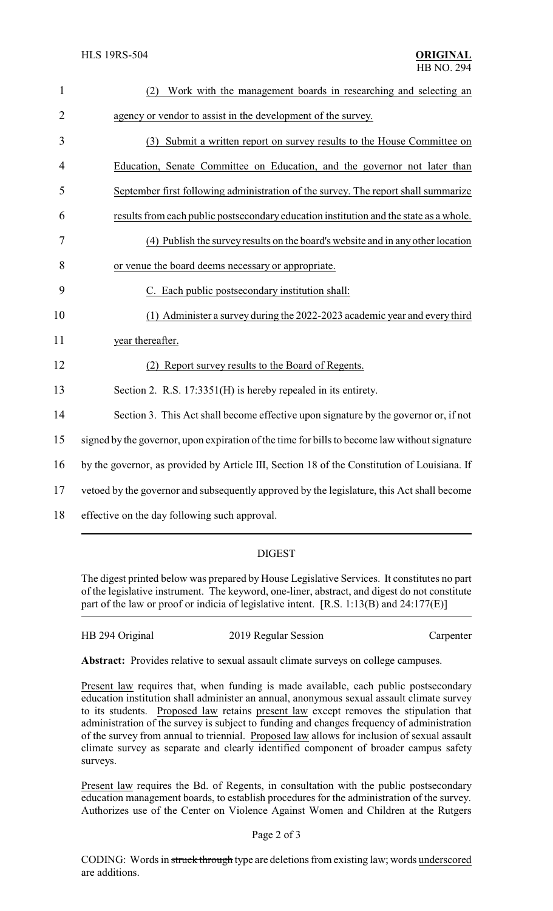| $\mathbf{1}$   | Work with the management boards in researching and selecting an<br>(2)                        |
|----------------|-----------------------------------------------------------------------------------------------|
| $\overline{2}$ | agency or vendor to assist in the development of the survey.                                  |
| 3              | (3) Submit a written report on survey results to the House Committee on                       |
| $\overline{4}$ | Education, Senate Committee on Education, and the governor not later than                     |
| 5              | September first following administration of the survey. The report shall summarize            |
| 6              | results from each public postsecondary education institution and the state as a whole.        |
| 7              | (4) Publish the survey results on the board's website and in any other location               |
| 8              | or venue the board deems necessary or appropriate.                                            |
| 9              | C. Each public postsecondary institution shall:                                               |
| 10             | (1) Administer a survey during the 2022-2023 academic year and every third                    |
| 11             | year thereafter.                                                                              |
| 12             | (2) Report survey results to the Board of Regents.                                            |
| 13             | Section 2. R.S. 17:3351(H) is hereby repealed in its entirety.                                |
| 14             | Section 3. This Act shall become effective upon signature by the governor or, if not          |
| 15             | signed by the governor, upon expiration of the time for bills to become law without signature |
| 16             | by the governor, as provided by Article III, Section 18 of the Constitution of Louisiana. If  |
| 17             | vetoed by the governor and subsequently approved by the legislature, this Act shall become    |
| 18             | effective on the day following such approval.                                                 |

# DIGEST

The digest printed below was prepared by House Legislative Services. It constitutes no part of the legislative instrument. The keyword, one-liner, abstract, and digest do not constitute part of the law or proof or indicia of legislative intent. [R.S. 1:13(B) and 24:177(E)]

| HB 294 Original | 2019 Regular Session | Carpenter |
|-----------------|----------------------|-----------|
|                 |                      |           |

**Abstract:** Provides relative to sexual assault climate surveys on college campuses.

Present law requires that, when funding is made available, each public postsecondary education institution shall administer an annual, anonymous sexual assault climate survey to its students. Proposed law retains present law except removes the stipulation that administration of the survey is subject to funding and changes frequency of administration of the survey from annual to triennial. Proposed law allows for inclusion of sexual assault climate survey as separate and clearly identified component of broader campus safety surveys.

Present law requires the Bd. of Regents, in consultation with the public postsecondary education management boards, to establish procedures for the administration of the survey. Authorizes use of the Center on Violence Against Women and Children at the Rutgers

#### Page 2 of 3